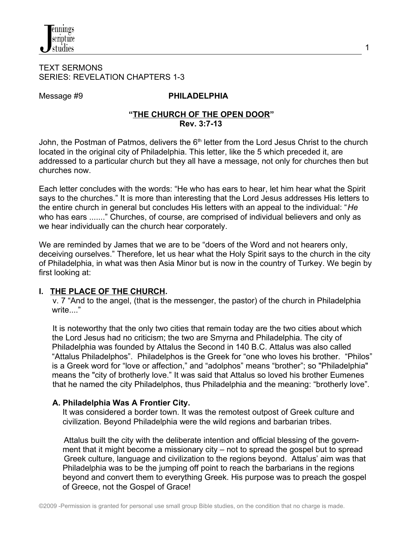#### TEXT SERMONS SERIES: REVELATION CHAPTERS 1-3

# Message #9 **PHILADELPHIA**

### **"THE CHURCH OF THE OPEN DOOR" Rev. 3:7-13**

John, the Postman of Patmos, delivers the  $6<sup>th</sup>$  letter from the Lord Jesus Christ to the church located in the original city of Philadelphia. This letter, like the 5 which preceded it, are addressed to a particular church but they all have a message, not only for churches then but churches now.

Each letter concludes with the words: "He who has ears to hear, let him hear what the Spirit says to the churches." It is more than interesting that the Lord Jesus addresses His letters to the entire church in general but concludes His letters with an appeal to the individual: "*He* who has ears ......." Churches, of course, are comprised of individual believers and only as we hear individually can the church hear corporately.

We are reminded by James that we are to be "doers of the Word and not hearers only, deceiving ourselves." Therefore, let us hear what the Holy Spirit says to the church in the city of Philadelphia, in what was then Asia Minor but is now in the country of Turkey. We begin by first looking at:

# **I. THE PLACE OF THE CHURCH.**

 v. 7 "And to the angel, (that is the messenger, the pastor) of the church in Philadelphia write..."

 It is noteworthy that the only two cities that remain today are the two cities about which the Lord Jesus had no criticism; the two are Smyrna and Philadelphia. The city of Philadelphia was founded by Attalus the Second in 140 B.C. Attalus was also called "Attalus Philadelphos". Philadelphos is the Greek for "one who loves his brother. "Philos" is a Greek word for "love or affection," and "adolphos" means "brother"; so "Philadelphia" means the "city of brotherly love." It was said that Attalus so loved his brother Eumenes that he named the city Philadelphos, thus Philadelphia and the meaning: "brotherly love".

# **A. Philadelphia Was A Frontier City.**

It was considered a border town. It was the remotest outpost of Greek culture and civilization. Beyond Philadelphia were the wild regions and barbarian tribes.

 Attalus built the city with the deliberate intention and official blessing of the government that it might become a missionary city – not to spread the gospel but to spread Greek culture, language and civilization to the regions beyond. Attalus' aim was that Philadelphia was to be the jumping off point to reach the barbarians in the regions beyond and convert them to everything Greek. His purpose was to preach the gospel of Greece, not the Gospel of Grace!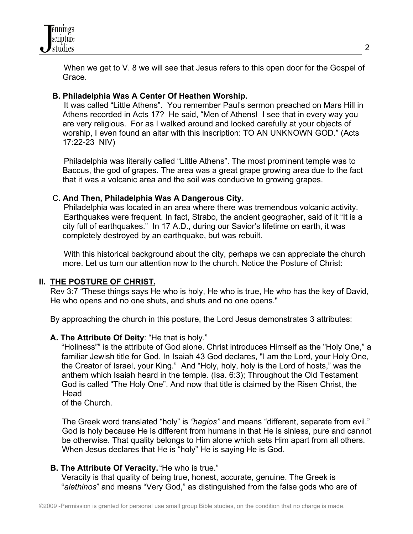

 When we get to V. 8 we will see that Jesus refers to this open door for the Gospel of Grace.

### **B. Philadelphia Was A Center Of Heathen Worship.**

 It was called "Little Athens". You remember Paul's sermon preached on Mars Hill in Athens recorded in Acts 17? He said, "Men of Athens! I see that in every way you are very religious. For as I walked around and looked carefully at your objects of worship, I even found an altar with this inscription: TO AN UNKNOWN GOD." (Acts 17:22-23 NIV)

 Philadelphia was literally called "Little Athens". The most prominent temple was to Baccus, the god of grapes. The area was a great grape growing area due to the fact that it was a volcanic area and the soil was conducive to growing grapes.

#### C**. And Then, Philadelphia Was A Dangerous City.**

Philadelphia was located in an area where there was tremendous volcanic activity. Earthquakes were frequent. In fact, Strabo, the ancient geographer, said of it "It is a city full of earthquakes." In 17 A.D., during our Savior's lifetime on earth, it was completely destroyed by an earthquake, but was rebuilt.

 With this historical background about the city, perhaps we can appreciate the church more. Let us turn our attention now to the church. Notice the Posture of Christ:

#### **II. THE POSTURE OF CHRIST.**

 Rev 3:7 "These things says He who is holy, He who is true, He who has the key of David, He who opens and no one shuts, and shuts and no one opens."

By approaching the church in this posture, the Lord Jesus demonstrates 3 attributes:

### **A. The Attribute Of Deity**: "He that is holy."

 "Holiness"" is the attribute of God alone. Christ introduces Himself as the "Holy One," a familiar Jewish title for God. In Isaiah 43 God declares, "I am the Lord, your Holy One, the Creator of Israel, your King." And "Holy, holy, holy is the Lord of hosts," was the anthem which Isaiah heard in the temple. (Isa. 6:3); Throughout the Old Testament God is called "The Holy One". And now that title is claimed by the Risen Christ, the **Head** 

of the Church.

 The Greek word translated "holy" is *"hagios"* and means "different, separate from evil." God is holy because He is different from humans in that He is sinless, pure and cannot be otherwise. That quality belongs to Him alone which sets Him apart from all others. When Jesus declares that He is "holy" He is saying He is God.

#### **B. The Attribute Of Veracity.** "He who is true."

 Veracity is that quality of being true, honest, accurate, genuine. The Greek is "*alethinos*" and means "Very God," as distinguished from the false gods who are of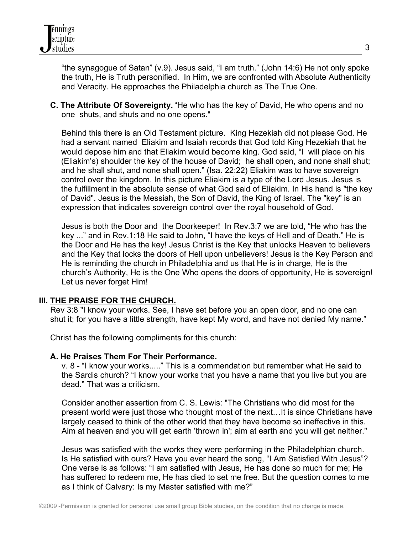

 "the synagogue of Satan" (v.9). Jesus said, "I am truth." (John 14:6) He not only spoke the truth, He is Truth personified. In Him, we are confronted with Absolute Authenticity and Veracity. He approaches the Philadelphia church as The True One.

 **C. The Attribute Of Sovereignty.** "He who has the key of David, He who opens and no one shuts, and shuts and no one opens."

 Behind this there is an Old Testament picture. King Hezekiah did not please God. He had a servant named Eliakim and Isaiah records that God told King Hezekiah that he would depose him and that Eliakim would become king. God said, "I will place on his (Eliakim's) shoulder the key of the house of David; he shall open, and none shall shut; and he shall shut, and none shall open." (Isa. 22:22) Eliakim was to have sovereign control over the kingdom. In this picture Eliakim is a type of the Lord Jesus. Jesus is the fulfillment in the absolute sense of what God said of Eliakim. In His hand is "the key of David". Jesus is the Messiah, the Son of David, the King of Israel. The "key" is an expression that indicates sovereign control over the royal household of God.

 Jesus is both the Door and the Doorkeeper! In Rev.3:7 we are told, "He who has the key ..." and in Rev.1:18 He said to John, "I have the keys of Hell and of Death." He is the Door and He has the key! Jesus Christ is the Key that unlocks Heaven to believers and the Key that locks the doors of Hell upon unbelievers! Jesus is the Key Person and He is reminding the church in Philadelphia and us that He is in charge, He is the church's Authority, He is the One Who opens the doors of opportunity, He is sovereign! Let us never forget Him!

### **III. THE PRAISE FOR THE CHURCH.**

 Rev 3:8 "I know your works. See, I have set before you an open door, and no one can shut it; for you have a little strength, have kept My word, and have not denied My name."

Christ has the following compliments for this church:

#### **A. He Praises Them For Their Performance.**

 v. 8 - "I know your works....." This is a commendation but remember what He said to the Sardis church? "I know your works that you have a name that you live but you are dead." That was a criticism.

 Consider another assertion from C. S. Lewis: "The Christians who did most for the present world were just those who thought most of the next…It is since Christians have largely ceased to think of the other world that they have become so ineffective in this. Aim at heaven and you will get earth 'thrown in'; aim at earth and you will get neither."

 Jesus was satisfied with the works they were performing in the Philadelphian church. Is He satisfied with ours? Have you ever heard the song, "I Am Satisfied With Jesus"? One verse is as follows: "I am satisfied with Jesus, He has done so much for me; He has suffered to redeem me, He has died to set me free. But the question comes to me as I think of Calvary: Is my Master satisfied with me?"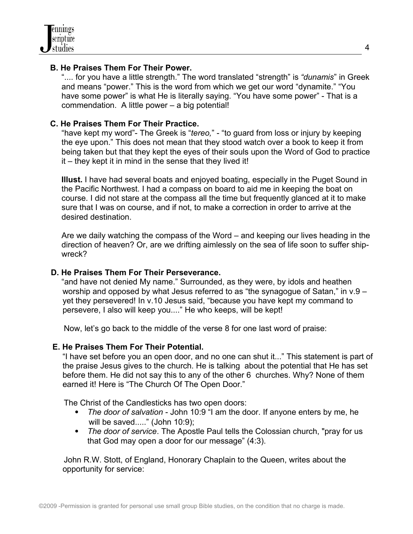# **B. He Praises Them For Their Power.**

 ".... for you have a little strength." The word translated "strength" is *"dunamis*" in Greek and means "power." This is the word from which we get our word "dynamite." "You have some power" is what He is literally saying. "You have some power" - That is a commendation. A little power – a big potential!

# **C. He Praises Them For Their Practice.**

 "have kept my word"- The Greek is "*tereo,*" - "to guard from loss or injury by keeping the eye upon." This does not mean that they stood watch over a book to keep it from being taken but that they kept the eyes of their souls upon the Word of God to practice it – they kept it in mind in the sense that they lived it!

 **Illust.** I have had several boats and enjoyed boating, especially in the Puget Sound in the Pacific Northwest. I had a compass on board to aid me in keeping the boat on course. I did not stare at the compass all the time but frequently glanced at it to make sure that I was on course, and if not, to make a correction in order to arrive at the desired destination.

 Are we daily watching the compass of the Word – and keeping our lives heading in the direction of heaven? Or, are we drifting aimlessly on the sea of life soon to suffer ship wreck?

### **D. He Praises Them For Their Perseverance.**

 "and have not denied My name." Surrounded, as they were, by idols and heathen worship and opposed by what Jesus referred to as "the synagogue of Satan," in v.9 – yet they persevered! In v.10 Jesus said, "because you have kept my command to persevere, I also will keep you...." He who keeps, will be kept!

Now, let's go back to the middle of the verse 8 for one last word of praise:

### **E. He Praises Them For Their Potential.**

"I have set before you an open door, and no one can shut it..." This statement is part of the praise Jesus gives to the church. He is talking about the potential that He has set before them. He did not say this to any of the other 6 churches. Why? None of them earned it! Here is "The Church Of The Open Door."

The Christ of the Candlesticks has two open doors:

- *The door of salvation* John 10:9 "I am the door. If anyone enters by me, he will be saved....." (John 10:9);
- *The door of service*. The Apostle Paul tells the Colossian church, "pray for us that God may open a door for our message" (4:3).

 John R.W. Stott, of England, Honorary Chaplain to the Queen, writes about the opportunity for service: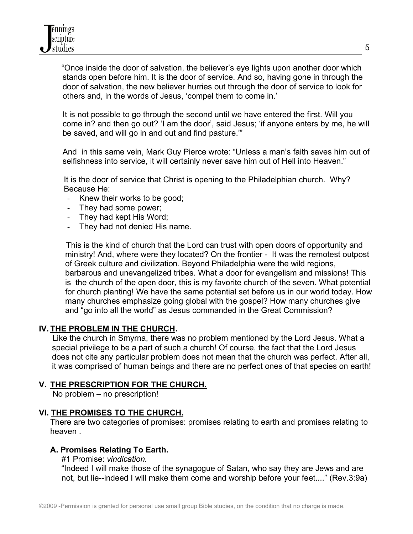"Once inside the door of salvation, the believer's eye lights upon another door which stands open before him. It is the door of service. And so, having gone in through the door of salvation, the new believer hurries out through the door of service to look for others and, in the words of Jesus, 'compel them to come in.'

It is not possible to go through the second until we have entered the first. Will you come in? and then go out? 'I am the door', said Jesus; 'if anyone enters by me, he will be saved, and will go in and out and find pasture.'"

And in this same vein, Mark Guy Pierce wrote: "Unless a man's faith saves him out of selfishness into service, it will certainly never save him out of Hell into Heaven."

 It is the door of service that Christ is opening to the Philadelphian church. Why? Because He:

- Knew their works to be good;
- They had some power;
- They had kept His Word;
- They had not denied His name.

 This is the kind of church that the Lord can trust with open doors of opportunity and ministry! And, where were they located? On the frontier - It was the remotest outpost of Greek culture and civilization. Beyond Philadelphia were the wild regions, barbarous and unevangelized tribes. What a door for evangelism and missions! This is the church of the open door, this is my favorite church of the seven. What potential for church planting! We have the same potential set before us in our world today. How many churches emphasize going global with the gospel? How many churches give and "go into all the world" as Jesus commanded in the Great Commission?

### **IV. THE PROBLEM IN THE CHURCH.**

 Like the church in Smyrna, there was no problem mentioned by the Lord Jesus. What a special privilege to be a part of such a church! Of course, the fact that the Lord Jesus does not cite any particular problem does not mean that the church was perfect. After all, it was comprised of human beings and there are no perfect ones of that species on earth!

### **V. THE PRESCRIPTION FOR THE CHURCH.**

No problem – no prescription!

# **VI. THE PROMISES TO THE CHURCH.**

 There are two categories of promises: promises relating to earth and promises relating to heaven .

### **A. Promises Relating To Earth.**

#1 Promise: *vindication.* 

"Indeed I will make those of the synagogue of Satan, who say they are Jews and are not, but lie--indeed I will make them come and worship before your feet...." (Rev.3:9a)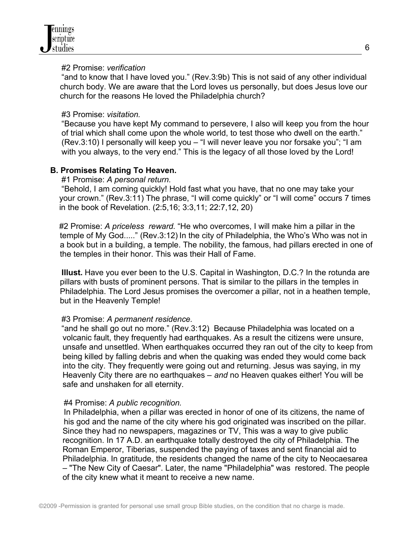#### #2 Promise: *verification*

 "and to know that I have loved you." (Rev.3:9b) This is not said of any other individual church body. We are aware that the Lord loves us personally, but does Jesus love our church for the reasons He loved the Philadelphia church?

#### #3 Promise: *visitation.*

 "Because you have kept My command to persevere, I also will keep you from the hour of trial which shall come upon the whole world, to test those who dwell on the earth." (Rev.3:10) I personally will keep you – "I will never leave you nor forsake you"; "I am with you always, to the very end." This is the legacy of all those loved by the Lord!

# **B. Promises Relating To Heaven.**

#1 Promise: *A personal return*.

 "Behold, I am coming quickly! Hold fast what you have, that no one may take your your crown." (Rev.3:11) The phrase, "I will come quickly" or "I will come" occurs 7 times in the book of Revelation. (2:5,16; 3:3,11; 22:7,12, 20)

 #2 Promise: *A priceless reward.* "He who overcomes, I will make him a pillar in the temple of My God....." (Rev.3:12) In the city of Philadelphia, the Who's Who was not in a book but in a building, a temple. The nobility, the famous, had pillars erected in one of the temples in their honor. This was their Hall of Fame.

 **Illust.** Have you ever been to the U.S. Capital in Washington, D.C.? In the rotunda are pillars with busts of prominent persons. That is similar to the pillars in the temples in Philadelphia. The Lord Jesus promises the overcomer a pillar, not in a heathen temple, but in the Heavenly Temple!

### #3 Promise: *A permanent residence.*

 "and he shall go out no more." (Rev.3:12) Because Philadelphia was located on a volcanic fault, they frequently had earthquakes. As a result the citizens were unsure, unsafe and unsettled. When earthquakes occurred they ran out of the city to keep from being killed by falling debris and when the quaking was ended they would come back into the city. They frequently were going out and returning. Jesus was saying, in my Heavenly City there are no earthquakes – *and* no Heaven quakes either! You will be safe and unshaken for all eternity.

### #4 Promise: *A public recognition.*

 In Philadelphia, when a pillar was erected in honor of one of its citizens, the name of his god and the name of the city where his god originated was inscribed on the pillar. Since they had no newspapers, magazines or TV, This was a way to give public recognition. In 17 A.D. an earthquake totally destroyed the city of Philadelphia. The Roman Emperor, Tiberias, suspended the paying of taxes and sent financial aid to Philadelphia. In gratitude, the residents changed the name of the city to Neocaesarea – "The New City of Caesar". Later, the name "Philadelphia" was restored. The people of the city knew what it meant to receive a new name.